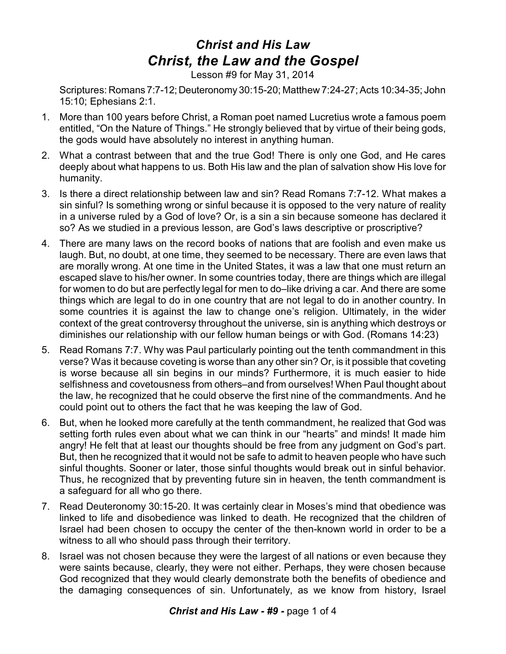## *Christ and His Law Christ, the Law and the Gospel*

Lesson #9 for May 31, 2014

Scriptures: Romans 7:7-12; Deuteronomy 30:15-20; Matthew 7:24-27; Acts 10:34-35; John 15:10; Ephesians 2:1.

- 1. More than 100 years before Christ, a Roman poet named Lucretius wrote a famous poem entitled, "On the Nature of Things." He strongly believed that by virtue of their being gods, the gods would have absolutely no interest in anything human.
- 2. What a contrast between that and the true God! There is only one God, and He cares deeply about what happens to us. Both His law and the plan of salvation show His love for humanity.
- 3. Is there a direct relationship between law and sin? Read Romans 7:7-12. What makes a sin sinful? Is something wrong or sinful because it is opposed to the very nature of reality in a universe ruled by a God of love? Or, is a sin a sin because someone has declared it so? As we studied in a previous lesson, are God's laws descriptive or proscriptive?
- 4. There are many laws on the record books of nations that are foolish and even make us laugh. But, no doubt, at one time, they seemed to be necessary. There are even laws that are morally wrong. At one time in the United States, it was a law that one must return an escaped slave to his/her owner. In some countries today, there are things which are illegal for women to do but are perfectly legal for men to do–like driving a car. And there are some things which are legal to do in one country that are not legal to do in another country. In some countries it is against the law to change one's religion. Ultimately, in the wider context of the great controversy throughout the universe, sin is anything which destroys or diminishes our relationship with our fellow human beings or with God. (Romans 14:23)
- 5. Read Romans 7:7. Why was Paul particularly pointing out the tenth commandment in this verse? Was it because coveting is worse than any other sin? Or, is it possible that coveting is worse because all sin begins in our minds? Furthermore, it is much easier to hide selfishness and covetousness from others–and from ourselves! When Paul thought about the law, he recognized that he could observe the first nine of the commandments. And he could point out to others the fact that he was keeping the law of God.
- 6. But, when he looked more carefully at the tenth commandment, he realized that God was setting forth rules even about what we can think in our "hearts" and minds! It made him angry! He felt that at least our thoughts should be free from any judgment on God's part. But, then he recognized that it would not be safe to admit to heaven people who have such sinful thoughts. Sooner or later, those sinful thoughts would break out in sinful behavior. Thus, he recognized that by preventing future sin in heaven, the tenth commandment is a safeguard for all who go there.
- 7. Read Deuteronomy 30:15-20. It was certainly clear in Moses's mind that obedience was linked to life and disobedience was linked to death. He recognized that the children of Israel had been chosen to occupy the center of the then-known world in order to be a witness to all who should pass through their territory.
- 8. Israel was not chosen because they were the largest of all nations or even because they were saints because, clearly, they were not either. Perhaps, they were chosen because God recognized that they would clearly demonstrate both the benefits of obedience and the damaging consequences of sin. Unfortunately, as we know from history, Israel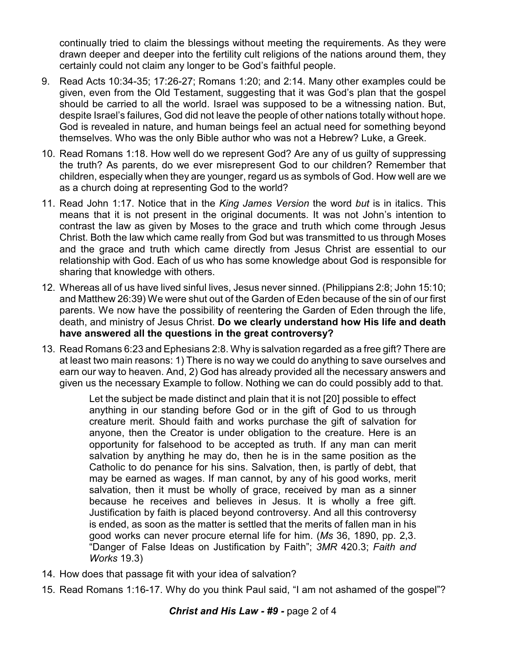continually tried to claim the blessings without meeting the requirements. As they were drawn deeper and deeper into the fertility cult religions of the nations around them, they certainly could not claim any longer to be God's faithful people.

- 9. Read Acts 10:34-35; 17:26-27; Romans 1:20; and 2:14. Many other examples could be given, even from the Old Testament, suggesting that it was God's plan that the gospel should be carried to all the world. Israel was supposed to be a witnessing nation. But, despite Israel's failures, God did not leave the people of other nations totally without hope. God is revealed in nature, and human beings feel an actual need for something beyond themselves. Who was the only Bible author who was not a Hebrew? Luke, a Greek.
- 10. Read Romans 1:18. How well do we represent God? Are any of us guilty of suppressing the truth? As parents, do we ever misrepresent God to our children? Remember that children, especially when they are younger, regard us as symbols of God. How well are we as a church doing at representing God to the world?
- 11. Read John 1:17. Notice that in the *King James Version* the word *but* is in italics. This means that it is not present in the original documents. It was not John's intention to contrast the law as given by Moses to the grace and truth which come through Jesus Christ. Both the law which came really from God but was transmitted to us through Moses and the grace and truth which came directly from Jesus Christ are essential to our relationship with God. Each of us who has some knowledge about God is responsible for sharing that knowledge with others.
- 12. Whereas all of us have lived sinful lives, Jesus never sinned. (Philippians 2:8; John 15:10; and Matthew 26:39) We were shut out of the Garden of Eden because of the sin of our first parents. We now have the possibility of reentering the Garden of Eden through the life, death, and ministry of Jesus Christ. **Do we clearly understand how His life and death have answered all the questions in the great controversy?**
- 13. Read Romans 6:23 and Ephesians 2:8. Why is salvation regarded as a free gift? There are at least two main reasons: 1) There is no way we could do anything to save ourselves and earn our way to heaven. And, 2) God has already provided all the necessary answers and given us the necessary Example to follow. Nothing we can do could possibly add to that.

Let the subject be made distinct and plain that it is not [20] possible to effect anything in our standing before God or in the gift of God to us through creature merit. Should faith and works purchase the gift of salvation for anyone, then the Creator is under obligation to the creature. Here is an opportunity for falsehood to be accepted as truth. If any man can merit salvation by anything he may do, then he is in the same position as the Catholic to do penance for his sins. Salvation, then, is partly of debt, that may be earned as wages. If man cannot, by any of his good works, merit salvation, then it must be wholly of grace, received by man as a sinner because he receives and believes in Jesus. It is wholly a free gift. Justification by faith is placed beyond controversy. And all this controversy is ended, as soon as the matter is settled that the merits of fallen man in his good works can never procure eternal life for him. (*Ms* 36, 1890, pp. 2,3. "Danger of False Ideas on Justification by Faith"; *3MR* 420.3; *Faith and Works* 19.3)

- 14. How does that passage fit with your idea of salvation?
- 15. Read Romans 1:16-17. Why do you think Paul said, "I am not ashamed of the gospel"?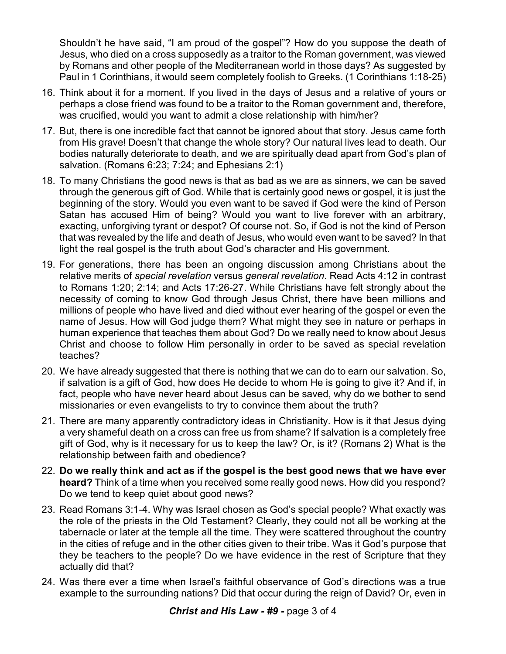Shouldn't he have said, "I am proud of the gospel"? How do you suppose the death of Jesus, who died on a cross supposedly as a traitor to the Roman government, was viewed by Romans and other people of the Mediterranean world in those days? As suggested by Paul in 1 Corinthians, it would seem completely foolish to Greeks. (1 Corinthians 1:18-25)

- 16. Think about it for a moment. If you lived in the days of Jesus and a relative of yours or perhaps a close friend was found to be a traitor to the Roman government and, therefore, was crucified, would you want to admit a close relationship with him/her?
- 17. But, there is one incredible fact that cannot be ignored about that story. Jesus came forth from His grave! Doesn't that change the whole story? Our natural lives lead to death. Our bodies naturally deteriorate to death, and we are spiritually dead apart from God's plan of salvation. (Romans 6:23; 7:24; and Ephesians 2:1)
- 18. To many Christians the good news is that as bad as we are as sinners, we can be saved through the generous gift of God. While that is certainly good news or gospel, it is just the beginning of the story. Would you even want to be saved if God were the kind of Person Satan has accused Him of being? Would you want to live forever with an arbitrary, exacting, unforgiving tyrant or despot? Of course not. So, if God is not the kind of Person that was revealed by the life and death of Jesus, who would even want to be saved? In that light the real gospel is the truth about God's character and His government.
- 19. For generations, there has been an ongoing discussion among Christians about the relative merits of *special revelation* versus *general revelation*. Read Acts 4:12 in contrast to Romans 1:20; 2:14; and Acts 17:26-27. While Christians have felt strongly about the necessity of coming to know God through Jesus Christ, there have been millions and millions of people who have lived and died without ever hearing of the gospel or even the name of Jesus. How will God judge them? What might they see in nature or perhaps in human experience that teaches them about God? Do we really need to know about Jesus Christ and choose to follow Him personally in order to be saved as special revelation teaches?
- 20. We have already suggested that there is nothing that we can do to earn our salvation. So, if salvation is a gift of God, how does He decide to whom He is going to give it? And if, in fact, people who have never heard about Jesus can be saved, why do we bother to send missionaries or even evangelists to try to convince them about the truth?
- 21. There are many apparently contradictory ideas in Christianity. How is it that Jesus dying a very shameful death on a cross can free us from shame? If salvation is a completely free gift of God, why is it necessary for us to keep the law? Or, is it? (Romans 2) What is the relationship between faith and obedience?
- 22. **Do we really think and act as if the gospel is the best good news that we have ever heard?** Think of a time when you received some really good news. How did you respond? Do we tend to keep quiet about good news?
- 23. Read Romans 3:1-4. Why was Israel chosen as God's special people? What exactly was the role of the priests in the Old Testament? Clearly, they could not all be working at the tabernacle or later at the temple all the time. They were scattered throughout the country in the cities of refuge and in the other cities given to their tribe. Was it God's purpose that they be teachers to the people? Do we have evidence in the rest of Scripture that they actually did that?
- 24. Was there ever a time when Israel's faithful observance of God's directions was a true example to the surrounding nations? Did that occur during the reign of David? Or, even in